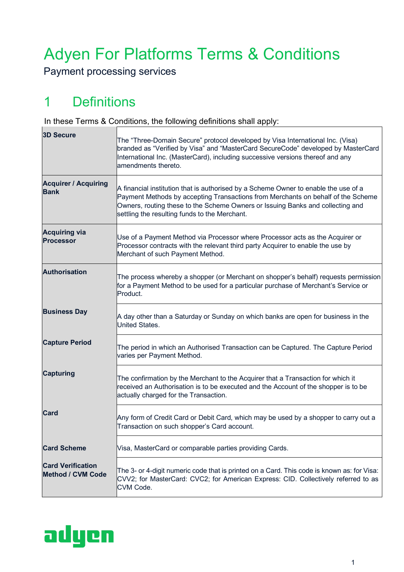# Adyen For Platforms Terms & Conditions

Payment processing services

## 1 Definitions

In these Terms & Conditions, the following definitions shall apply:

| <b>3D Secure</b>                                     | The "Three-Domain Secure" protocol developed by Visa International Inc. (Visa)<br>branded as "Verified by Visa" and "MasterCard SecureCode" developed by MasterCard<br>International Inc. (MasterCard), including successive versions thereof and any<br>amendments thereto.                               |
|------------------------------------------------------|------------------------------------------------------------------------------------------------------------------------------------------------------------------------------------------------------------------------------------------------------------------------------------------------------------|
| <b>Acquirer / Acquiring</b><br><b>Bank</b>           | A financial institution that is authorised by a Scheme Owner to enable the use of a<br>Payment Methods by accepting Transactions from Merchants on behalf of the Scheme<br>Owners, routing these to the Scheme Owners or Issuing Banks and collecting and<br>settling the resulting funds to the Merchant. |
| <b>Acquiring via</b><br><b>Processor</b>             | Use of a Payment Method via Processor where Processor acts as the Acquirer or<br>Processor contracts with the relevant third party Acquirer to enable the use by<br>Merchant of such Payment Method.                                                                                                       |
| <b>Authorisation</b>                                 | The process whereby a shopper (or Merchant on shopper's behalf) requests permission<br>for a Payment Method to be used for a particular purchase of Merchant's Service or<br>Product.                                                                                                                      |
| <b>Business Day</b>                                  | A day other than a Saturday or Sunday on which banks are open for business in the<br>United States.                                                                                                                                                                                                        |
| <b>Capture Period</b>                                | The period in which an Authorised Transaction can be Captured. The Capture Period<br>varies per Payment Method.                                                                                                                                                                                            |
| <b>Capturing</b>                                     | The confirmation by the Merchant to the Acquirer that a Transaction for which it<br>received an Authorisation is to be executed and the Account of the shopper is to be<br>actually charged for the Transaction.                                                                                           |
| <b>Card</b>                                          | Any form of Credit Card or Debit Card, which may be used by a shopper to carry out a<br>Transaction on such shopper's Card account.                                                                                                                                                                        |
| <b>Card Scheme</b>                                   | Visa, MasterCard or comparable parties providing Cards.                                                                                                                                                                                                                                                    |
| <b>Card Verification</b><br><b>Method / CVM Code</b> | The 3- or 4-digit numeric code that is printed on a Card. This code is known as: for Visa:<br>CVV2; for MasterCard: CVC2; for American Express: CID. Collectively referred to as<br>CVM Code.                                                                                                              |



 $\overline{\mathsf{I}}$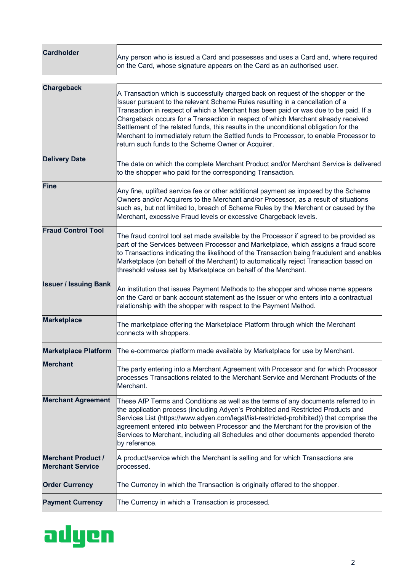| <b>Cardholder</b>                                    | Any person who is issued a Card and possesses and uses a Card and, where required<br>on the Card, whose signature appears on the Card as an authorised user.                                                                                                                                                                                                                                                                                                                                                                                                                            |
|------------------------------------------------------|-----------------------------------------------------------------------------------------------------------------------------------------------------------------------------------------------------------------------------------------------------------------------------------------------------------------------------------------------------------------------------------------------------------------------------------------------------------------------------------------------------------------------------------------------------------------------------------------|
| <b>Chargeback</b>                                    | A Transaction which is successfully charged back on request of the shopper or the<br>Issuer pursuant to the relevant Scheme Rules resulting in a cancellation of a<br>Transaction in respect of which a Merchant has been paid or was due to be paid. If a<br>Chargeback occurs for a Transaction in respect of which Merchant already received<br>Settlement of the related funds, this results in the unconditional obligation for the<br>Merchant to immediately return the Settled funds to Processor, to enable Processor to<br>return such funds to the Scheme Owner or Acquirer. |
| <b>Delivery Date</b>                                 | The date on which the complete Merchant Product and/or Merchant Service is delivered<br>to the shopper who paid for the corresponding Transaction.                                                                                                                                                                                                                                                                                                                                                                                                                                      |
| <b>Fine</b>                                          | Any fine, uplifted service fee or other additional payment as imposed by the Scheme<br>Owners and/or Acquirers to the Merchant and/or Processor, as a result of situations<br>such as, but not limited to, breach of Scheme Rules by the Merchant or caused by the<br>Merchant, excessive Fraud levels or excessive Chargeback levels.                                                                                                                                                                                                                                                  |
| <b>Fraud Control Tool</b>                            | The fraud control tool set made available by the Processor if agreed to be provided as<br>part of the Services between Processor and Marketplace, which assigns a fraud score<br>to Transactions indicating the likelihood of the Transaction being fraudulent and enables<br>Marketplace (on behalf of the Merchant) to automatically reject Transaction based on<br>threshold values set by Marketplace on behalf of the Merchant.                                                                                                                                                    |
| <b>Issuer / Issuing Bank</b>                         | An institution that issues Payment Methods to the shopper and whose name appears<br>on the Card or bank account statement as the Issuer or who enters into a contractual<br>relationship with the shopper with respect to the Payment Method.                                                                                                                                                                                                                                                                                                                                           |
| <b>Marketplace</b>                                   | The marketplace offering the Marketplace Platform through which the Merchant<br>connects with shoppers.                                                                                                                                                                                                                                                                                                                                                                                                                                                                                 |
|                                                      | Marketplace Platform The e-commerce platform made available by Marketplace for use by Merchant.                                                                                                                                                                                                                                                                                                                                                                                                                                                                                         |
| <b>Merchant</b>                                      | The party entering into a Merchant Agreement with Processor and for which Processor<br>processes Transactions related to the Merchant Service and Merchant Products of the<br>Merchant.                                                                                                                                                                                                                                                                                                                                                                                                 |
| <b>Merchant Agreement</b>                            | These AfP Terms and Conditions as well as the terms of any documents referred to in<br>the application process (including Adyen's Prohibited and Restricted Products and<br>Services List (https://www.adyen.com/legal/list-restricted-prohibited)) that comprise the<br>agreement entered into between Processor and the Merchant for the provision of the<br>Services to Merchant, including all Schedules and other documents appended thereto<br>by reference.                                                                                                                      |
| <b>Merchant Product /</b><br><b>Merchant Service</b> | A product/service which the Merchant is selling and for which Transactions are<br>processed.                                                                                                                                                                                                                                                                                                                                                                                                                                                                                            |
| <b>Order Currency</b>                                | The Currency in which the Transaction is originally offered to the shopper.                                                                                                                                                                                                                                                                                                                                                                                                                                                                                                             |
| <b>Payment Currency</b>                              | The Currency in which a Transaction is processed.                                                                                                                                                                                                                                                                                                                                                                                                                                                                                                                                       |

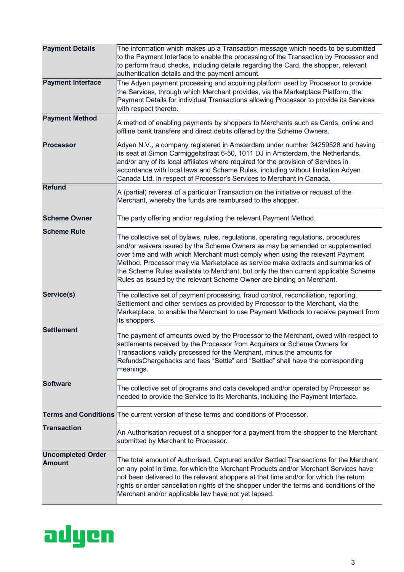| <b>Payment Details</b>                    | The information which makes up a Transaction message which needs to be submitted<br>to the Payment Interface to enable the processing of the Transaction by Processor and<br>to perform fraud checks, including details regarding the Card, the shopper, relevant<br>authentication details and the payment amount.                                                                                                                                                                                     |
|-------------------------------------------|---------------------------------------------------------------------------------------------------------------------------------------------------------------------------------------------------------------------------------------------------------------------------------------------------------------------------------------------------------------------------------------------------------------------------------------------------------------------------------------------------------|
| <b>Payment Interface</b>                  | The Adyen payment processing and acquiring platform used by Processor to provide<br>the Services, through which Merchant provides, via the Marketplace Platform, the<br>Payment Details for individual Transactions allowing Processor to provide its Services<br>with respect thereto.                                                                                                                                                                                                                 |
| <b>Payment Method</b>                     | A method of enabling payments by shoppers to Merchants such as Cards, online and<br>offline bank transfers and direct debits offered by the Scheme Owners.                                                                                                                                                                                                                                                                                                                                              |
| <b>Processor</b>                          | Adyen N.V., a company registered in Amsterdam under number 34259528 and having<br>its seat at Simon Carmiggeltstraat 6-50, 1011 DJ in Amsterdam, the Netherlands,<br>and/or any of its local affiliates where required for the provision of Services in<br>accordance with local laws and Scheme Rules, including without limitation Adyen<br>Canada Ltd. in respect of Processor's Services to Merchant in Canada.                                                                                     |
| <b>Refund</b>                             | A (partial) reversal of a particular Transaction on the initiative or request of the<br>Merchant, whereby the funds are reimbursed to the shopper.                                                                                                                                                                                                                                                                                                                                                      |
| <b>Scheme Owner</b>                       | The party offering and/or regulating the relevant Payment Method.                                                                                                                                                                                                                                                                                                                                                                                                                                       |
| <b>Scheme Rule</b>                        | The collective set of bylaws, rules, regulations, operating regulations, procedures<br>and/or waivers issued by the Scheme Owners as may be amended or supplemented<br>over time and with which Merchant must comply when using the relevant Payment<br>Method. Processor may via Marketplace as service make extracts and summaries of<br>the Scheme Rules available to Merchant, but only the then current applicable Scheme<br>Rules as issued by the relevant Scheme Owner are binding on Merchant. |
| Service(s)                                | The collective set of payment processing, fraud control, reconciliation, reporting,<br>Settlement and other services as provided by Processor to the Merchant, via the<br>Marketplace, to enable the Merchant to use Payment Methods to receive payment from<br>its shoppers.                                                                                                                                                                                                                           |
| <b>Settlement</b>                         | The payment of amounts owed by the Processor to the Merchant, owed with respect to<br>settlements received by the Processor from Acquirers or Scheme Owners for<br>Transactions validly processed for the Merchant, minus the amounts for<br>RefundsChargebacks and fees "Settle" and "Settled" shall have the corresponding<br>meanings.                                                                                                                                                               |
| <b>Software</b>                           | The collective set of programs and data developed and/or operated by Processor as<br>needed to provide the Service to its Merchants, including the Payment Interface.                                                                                                                                                                                                                                                                                                                                   |
|                                           | <b>Terms and Conditions</b> The current version of these terms and conditions of Processor.                                                                                                                                                                                                                                                                                                                                                                                                             |
| <b>Transaction</b>                        | An Authorisation request of a shopper for a payment from the shopper to the Merchant<br>submitted by Merchant to Processor.                                                                                                                                                                                                                                                                                                                                                                             |
| <b>Uncompleted Order</b><br><b>Amount</b> | The total amount of Authorised, Captured and/or Settled Transactions for the Merchant<br>on any point in time, for which the Merchant Products and/or Merchant Services have<br>not been delivered to the relevant shoppers at that time and/or for which the return<br>rights or order cancellation rights of the shopper under the terms and conditions of the<br>Merchant and/or applicable law have not yet lapsed.                                                                                 |

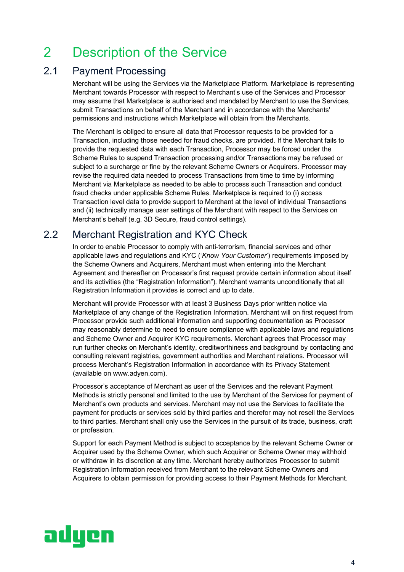## 2 Description of the Service

### 2.1 Payment Processing

Merchant will be using the Services via the Marketplace Platform. Marketplace is representing Merchant towards Processor with respect to Merchant's use of the Services and Processor may assume that Marketplace is authorised and mandated by Merchant to use the Services, submit Transactions on behalf of the Merchant and in accordance with the Merchants' permissions and instructions which Marketplace will obtain from the Merchants.

The Merchant is obliged to ensure all data that Processor requests to be provided for a Transaction, including those needed for fraud checks, are provided. If the Merchant fails to provide the requested data with each Transaction, Processor may be forced under the Scheme Rules to suspend Transaction processing and/or Transactions may be refused or subject to a surcharge or fine by the relevant Scheme Owners or Acquirers. Processor may revise the required data needed to process Transactions from time to time by informing Merchant via Marketplace as needed to be able to process such Transaction and conduct fraud checks under applicable Scheme Rules. Marketplace is required to (i) access Transaction level data to provide support to Merchant at the level of individual Transactions and (ii) technically manage user settings of the Merchant with respect to the Services on Merchant's behalf (e.g. 3D Secure, fraud control settings).

### 2.2 Merchant Registration and KYC Check

In order to enable Processor to comply with anti-terrorism, financial services and other applicable laws and regulations and KYC ('*Know Your Customer*') requirements imposed by the Scheme Owners and Acquirers, Merchant must when entering into the Merchant Agreement and thereafter on Processor's first request provide certain information about itself and its activities (the "Registration Information"). Merchant warrants unconditionally that all Registration Information it provides is correct and up to date.

Merchant will provide Processor with at least 3 Business Days prior written notice via Marketplace of any change of the Registration Information. Merchant will on first request from Processor provide such additional information and supporting documentation as Processor may reasonably determine to need to ensure compliance with applicable laws and regulations and Scheme Owner and Acquirer KYC requirements. Merchant agrees that Processor may run further checks on Merchant's identity, creditworthiness and background by contacting and consulting relevant registries, government authorities and Merchant relations. Processor will process Merchant's Registration Information in accordance with its Privacy Statement (available on www.adyen.com).

Processor's acceptance of Merchant as user of the Services and the relevant Payment Methods is strictly personal and limited to the use by Merchant of the Services for payment of Merchant's own products and services. Merchant may not use the Services to facilitate the payment for products or services sold by third parties and therefor may not resell the Services to third parties. Merchant shall only use the Services in the pursuit of its trade, business, craft or profession.

Support for each Payment Method is subject to acceptance by the relevant Scheme Owner or Acquirer used by the Scheme Owner, which such Acquirer or Scheme Owner may withhold or withdraw in its discretion at any time. Merchant hereby authorizes Processor to submit Registration Information received from Merchant to the relevant Scheme Owners and Acquirers to obtain permission for providing access to their Payment Methods for Merchant.

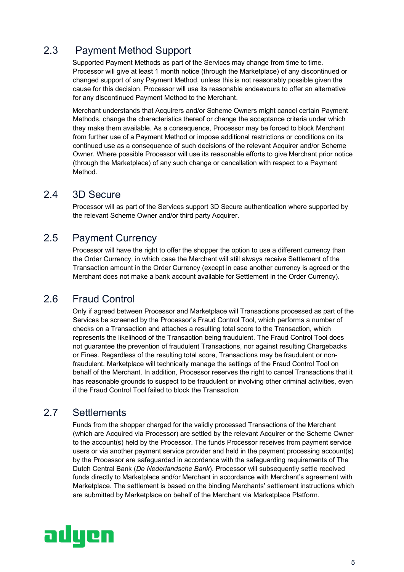### 2.3 Payment Method Support

Supported Payment Methods as part of the Services may change from time to time. Processor will give at least 1 month notice (through the Marketplace) of any discontinued or changed support of any Payment Method, unless this is not reasonably possible given the cause for this decision. Processor will use its reasonable endeavours to offer an alternative for any discontinued Payment Method to the Merchant.

Merchant understands that Acquirers and/or Scheme Owners might cancel certain Payment Methods, change the characteristics thereof or change the acceptance criteria under which they make them available. As a consequence, Processor may be forced to block Merchant from further use of a Payment Method or impose additional restrictions or conditions on its continued use as a consequence of such decisions of the relevant Acquirer and/or Scheme Owner. Where possible Processor will use its reasonable efforts to give Merchant prior notice (through the Marketplace) of any such change or cancellation with respect to a Payment Method.

### 2.4 3D Secure

Processor will as part of the Services support 3D Secure authentication where supported by the relevant Scheme Owner and/or third party Acquirer.

### 2.5 Payment Currency

Processor will have the right to offer the shopper the option to use a different currency than the Order Currency, in which case the Merchant will still always receive Settlement of the Transaction amount in the Order Currency (except in case another currency is agreed or the Merchant does not make a bank account available for Settlement in the Order Currency).

### 2.6 Fraud Control

Only if agreed between Processor and Marketplace will Transactions processed as part of the Services be screened by the Processor's Fraud Control Tool, which performs a number of checks on a Transaction and attaches a resulting total score to the Transaction, which represents the likelihood of the Transaction being fraudulent. The Fraud Control Tool does not guarantee the prevention of fraudulent Transactions, nor against resulting Chargebacks or Fines. Regardless of the resulting total score, Transactions may be fraudulent or nonfraudulent. Marketplace will technically manage the settings of the Fraud Control Tool on behalf of the Merchant. In addition, Processor reserves the right to cancel Transactions that it has reasonable grounds to suspect to be fraudulent or involving other criminal activities, even if the Fraud Control Tool failed to block the Transaction.

### 2.7 Settlements

Funds from the shopper charged for the validly processed Transactions of the Merchant (which are Acquired via Processor) are settled by the relevant Acquirer or the Scheme Owner to the account(s) held by the Processor. The funds Processor receives from payment service users or via another payment service provider and held in the payment processing account(s) by the Processor are safeguarded in accordance with the safeguarding requirements of The Dutch Central Bank (*De Nederlandsche Bank*). Processor will subsequently settle received funds directly to Marketplace and/or Merchant in accordance with Merchant's agreement with Marketplace. The settlement is based on the binding Merchants' settlement instructions which are submitted by Marketplace on behalf of the Merchant via Marketplace Platform.

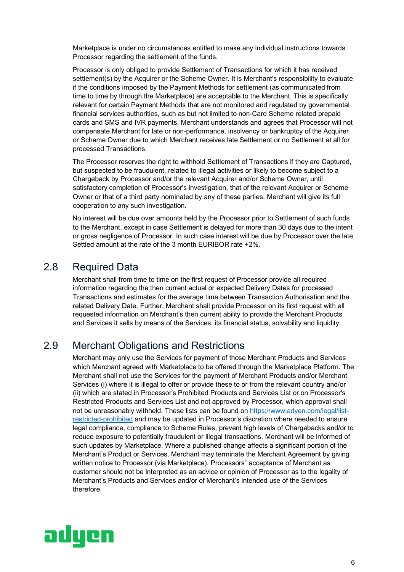Marketplace is under no circumstances entitled to make any individual instructions towards Processor regarding the settlement of the funds.

Processor is only obliged to provide Settlement of Transactions for which it has received settlement(s) by the Acquirer or the Scheme Owner. It is Merchant's responsibility to evaluate if the conditions imposed by the Payment Methods for settlement (as communicated from time to time by through the Marketplace) are acceptable to the Merchant. This is specifically relevant for certain Payment Methods that are not monitored and regulated by governmental financial services authorities, such as but not limited to non-Card Scheme related prepaid cards and SMS and IVR payments. Merchant understands and agrees that Processor will not compensate Merchant for late or non-performance, insolvency or bankruptcy of the Acquirer or Scheme Owner due to which Merchant receives late Settlement or no Settlement at all for processed Transactions.

The Processor reserves the right to withhold Settlement of Transactions if they are Captured, but suspected to be fraudulent, related to illegal activities or likely to become subject to a Chargeback by Processor and/or the relevant Acquirer and/or Scheme Owner, until satisfactory completion of Processor's investigation, that of the relevant Acquirer or Scheme Owner or that of a third party nominated by any of these parties. Merchant will give its full cooperation to any such investigation.

No interest will be due over amounts held by the Processor prior to Settlement of such funds to the Merchant, except in case Settlement is delayed for more than 30 days due to the intent or gross negligence of Processor. In such case interest will be due by Processor over the late Settled amount at the rate of the 3 month EURIBOR rate +2%.

#### 2.8 Required Data

Merchant shall from time to time on the first request of Processor provide all required information regarding the then current actual or expected Delivery Dates for processed Transactions and estimates for the average time between Transaction Authorisation and the related Delivery Date. Further, Merchant shall provide Processor on its first request with all requested information on Merchant's then current ability to provide the Merchant Products and Services it sells by means of the Services, its financial status, solvability and liquidity.

#### 2.9 Merchant Obligations and Restrictions

Merchant may only use the Services for payment of those Merchant Products and Services which Merchant agreed with Marketplace to be offered through the Marketplace Platform. The Merchant shall not use the Services for the payment of Merchant Products and/or Merchant Services (i) where it is illegal to offer or provide these to or from the relevant country and/or (ii) which are stated in Processor's Prohibited Products and Services List or on Processor's Restricted Products and Services List and not approved by Processor, which approval shall not be unreasonably withheld. These lists can be found on https://www.adyen.com/legal/listrestricted-prohibited and may be updated in Processor's discretion where needed to ensure legal compliance, compliance to Scheme Rules, prevent high levels of Chargebacks and/or to reduce exposure to potentially fraudulent or illegal transactions. Merchant will be informed of such updates by Marketplace. Where a published change affects a significant portion of the Merchant's Product or Services, Merchant may terminate the Merchant Agreement by giving written notice to Processor (via Marketplace). Processors´ acceptance of Merchant as customer should not be interpreted as an advice or opinion of Processor as to the legality of Merchant's Products and Services and/or of Merchant's intended use of the Services therefore.

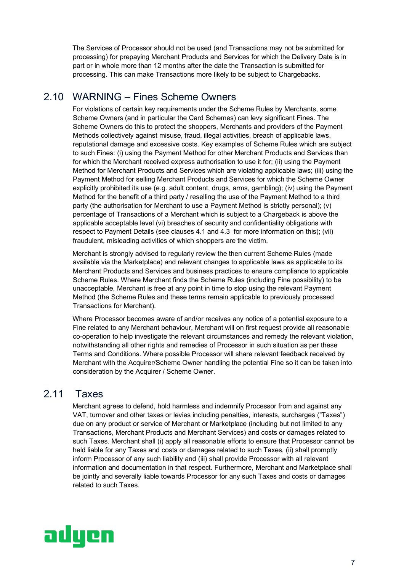The Services of Processor should not be used (and Transactions may not be submitted for processing) for prepaying Merchant Products and Services for which the Delivery Date is in part or in whole more than 12 months after the date the Transaction is submitted for processing. This can make Transactions more likely to be subject to Chargebacks.

### 2.10 WARNING – Fines Scheme Owners

For violations of certain key requirements under the Scheme Rules by Merchants, some Scheme Owners (and in particular the Card Schemes) can levy significant Fines. The Scheme Owners do this to protect the shoppers, Merchants and providers of the Payment Methods collectively against misuse, fraud, illegal activities, breach of applicable laws, reputational damage and excessive costs. Key examples of Scheme Rules which are subject to such Fines: (i) using the Payment Method for other Merchant Products and Services than for which the Merchant received express authorisation to use it for; (ii) using the Payment Method for Merchant Products and Services which are violating applicable laws; (iii) using the Payment Method for selling Merchant Products and Services for which the Scheme Owner explicitly prohibited its use (e.g. adult content, drugs, arms, gambling); (iv) using the Payment Method for the benefit of a third party / reselling the use of the Payment Method to a third party (the authorisation for Merchant to use a Payment Method is strictly personal); (v) percentage of Transactions of a Merchant which is subject to a Chargeback is above the applicable acceptable level (vi) breaches of security and confidentiality obligations with respect to Payment Details (see clauses 4.1 and 4.3 for more information on this); (vii) fraudulent, misleading activities of which shoppers are the victim.

Merchant is strongly advised to regularly review the then current Scheme Rules (made available via the Marketplace) and relevant changes to applicable laws as applicable to its Merchant Products and Services and business practices to ensure compliance to applicable Scheme Rules. Where Merchant finds the Scheme Rules (including Fine possibility) to be unacceptable, Merchant is free at any point in time to stop using the relevant Payment Method (the Scheme Rules and these terms remain applicable to previously processed Transactions for Merchant).

Where Processor becomes aware of and/or receives any notice of a potential exposure to a Fine related to any Merchant behaviour, Merchant will on first request provide all reasonable co-operation to help investigate the relevant circumstances and remedy the relevant violation, notwithstanding all other rights and remedies of Processor in such situation as per these Terms and Conditions. Where possible Processor will share relevant feedback received by Merchant with the Acquirer/Scheme Owner handling the potential Fine so it can be taken into consideration by the Acquirer / Scheme Owner.

#### 2.11 Taxes

Merchant agrees to defend, hold harmless and indemnify Processor from and against any VAT, turnover and other taxes or levies including penalties, interests, surcharges ("Taxes") due on any product or service of Merchant or Marketplace (including but not limited to any Transactions, Merchant Products and Merchant Services) and costs or damages related to such Taxes. Merchant shall (i) apply all reasonable efforts to ensure that Processor cannot be held liable for any Taxes and costs or damages related to such Taxes, (ii) shall promptly inform Processor of any such liability and (iii) shall provide Processor with all relevant information and documentation in that respect. Furthermore, Merchant and Marketplace shall be jointly and severally liable towards Processor for any such Taxes and costs or damages related to such Taxes.

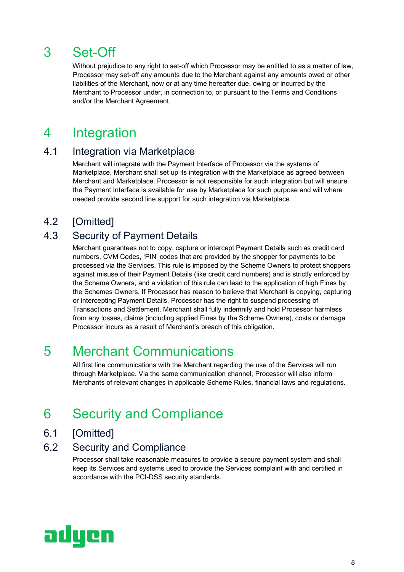## 3 Set-Off

Without prejudice to any right to set-off which Processor may be entitled to as a matter of law, Processor may set-off any amounts due to the Merchant against any amounts owed or other liabilities of the Merchant, now or at any time hereafter due, owing or incurred by the Merchant to Processor under, in connection to, or pursuant to the Terms and Conditions and/or the Merchant Agreement.

### 4 Integration

### 4.1 Integration via Marketplace

Merchant will integrate with the Payment Interface of Processor via the systems of Marketplace. Merchant shall set up its integration with the Marketplace as agreed between Merchant and Marketplace. Processor is not responsible for such integration but will ensure the Payment Interface is available for use by Marketplace for such purpose and will where needed provide second line support for such integration via Marketplace.

#### 4.2 [Omitted]

### 4.3 Security of Payment Details

Merchant guarantees not to copy, capture or intercept Payment Details such as credit card numbers, CVM Codes, 'PIN' codes that are provided by the shopper for payments to be processed via the Services. This rule is imposed by the Scheme Owners to protect shoppers against misuse of their Payment Details (like credit card numbers) and is strictly enforced by the Scheme Owners, and a violation of this rule can lead to the application of high Fines by the Schemes Owners. If Processor has reason to believe that Merchant is copying, capturing or intercepting Payment Details, Processor has the right to suspend processing of Transactions and Settlement. Merchant shall fully indemnify and hold Processor harmless from any losses, claims (including applied Fines by the Scheme Owners), costs or damage Processor incurs as a result of Merchant's breach of this obligation.

## 5 Merchant Communications

All first line communications with the Merchant regarding the use of the Services will run through Marketplace. Via the same communication channel, Processor will also inform Merchants of relevant changes in applicable Scheme Rules, financial laws and regulations.

## 6 Security and Compliance

6.1 [Omitted]

#### 6.2 Security and Compliance

Processor shall take reasonable measures to provide a secure payment system and shall keep its Services and systems used to provide the Services complaint with and certified in accordance with the PCI-DSS security standards.

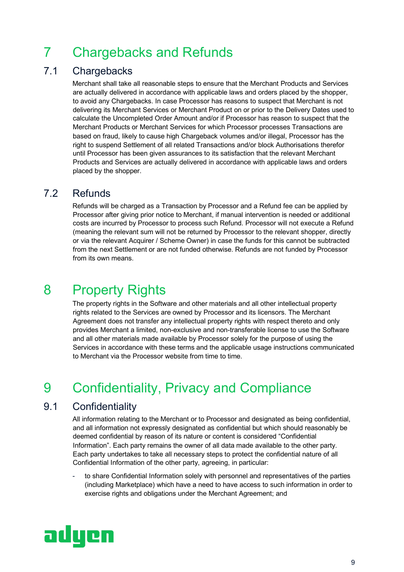## 7 Chargebacks and Refunds

### 7.1 Chargebacks

Merchant shall take all reasonable steps to ensure that the Merchant Products and Services are actually delivered in accordance with applicable laws and orders placed by the shopper, to avoid any Chargebacks. In case Processor has reasons to suspect that Merchant is not delivering its Merchant Services or Merchant Product on or prior to the Delivery Dates used to calculate the Uncompleted Order Amount and/or if Processor has reason to suspect that the Merchant Products or Merchant Services for which Processor processes Transactions are based on fraud, likely to cause high Chargeback volumes and/or illegal, Processor has the right to suspend Settlement of all related Transactions and/or block Authorisations therefor until Processor has been given assurances to its satisfaction that the relevant Merchant Products and Services are actually delivered in accordance with applicable laws and orders placed by the shopper.

### 7.2 Refunds

Refunds will be charged as a Transaction by Processor and a Refund fee can be applied by Processor after giving prior notice to Merchant, if manual intervention is needed or additional costs are incurred by Processor to process such Refund. Processor will not execute a Refund (meaning the relevant sum will not be returned by Processor to the relevant shopper, directly or via the relevant Acquirer / Scheme Owner) in case the funds for this cannot be subtracted from the next Settlement or are not funded otherwise. Refunds are not funded by Processor from its own means.

## 8 Property Rights

The property rights in the Software and other materials and all other intellectual property rights related to the Services are owned by Processor and its licensors. The Merchant Agreement does not transfer any intellectual property rights with respect thereto and only provides Merchant a limited, non-exclusive and non-transferable license to use the Software and all other materials made available by Processor solely for the purpose of using the Services in accordance with these terms and the applicable usage instructions communicated to Merchant via the Processor website from time to time.

## 9 Confidentiality, Privacy and Compliance

#### 9.1 Confidentiality

All information relating to the Merchant or to Processor and designated as being confidential, and all information not expressly designated as confidential but which should reasonably be deemed confidential by reason of its nature or content is considered "Confidential Information". Each party remains the owner of all data made available to the other party. Each party undertakes to take all necessary steps to protect the confidential nature of all Confidential Information of the other party, agreeing, in particular:

to share Confidential Information solely with personnel and representatives of the parties (including Marketplace) which have a need to have access to such information in order to exercise rights and obligations under the Merchant Agreement; and

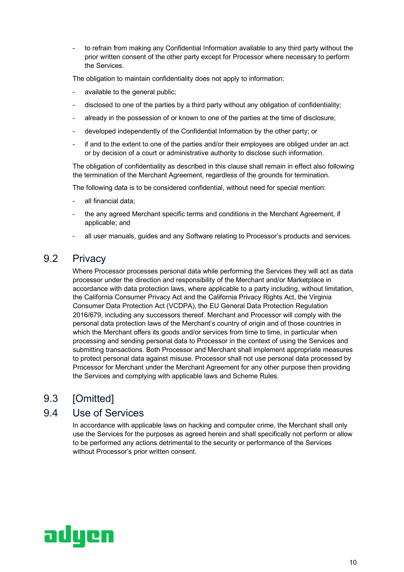to refrain from making any Confidential Information available to any third party without the prior written consent of the other party except for Processor where necessary to perform the Services.

The obligation to maintain confidentiality does not apply to information:

- available to the general public;
- disclosed to one of the parties by a third party without any obligation of confidentiality;
- already in the possession of or known to one of the parties at the time of disclosure;
- developed independently of the Confidential Information by the other party; or
- if and to the extent to one of the parties and/or their employees are obliged under an act or by decision of a court or administrative authority to disclose such information.

The obligation of confidentiality as described in this clause shall remain in effect also following the termination of the Merchant Agreement, regardless of the grounds for termination.

The following data is to be considered confidential, without need for special mention:

- all financial data:
- the any agreed Merchant specific terms and conditions in the Merchant Agreement, if applicable; and
- all user manuals, guides and any Software relating to Processor's products and services.

#### 9.2 Privacy

Where Processor processes personal data while performing the Services they will act as data processor under the direction and responsibility of the Merchant and/or Marketplace in accordance with data protection laws, where applicable to a party including, without limitation, the California Consumer Privacy Act and the California Privacy Rights Act, the Virginia Consumer Data Protection Act (VCDPA), the EU General Data Protection Regulation 2016/679, including any successors thereof. Merchant and Processor will comply with the personal data protection laws of the Merchant's country of origin and of those countries in which the Merchant offers its goods and/or services from time to time, in particular when processing and sending personal data to Processor in the context of using the Services and submitting transactions. Both Processor and Merchant shall implement appropriate measures to protect personal data against misuse. Processor shall not use personal data processed by Processor for Merchant under the Merchant Agreement for any other purpose then providing the Services and complying with applicable laws and Scheme Rules.

### 9.3 [Omitted]

#### 9.4 Use of Services

In accordance with applicable laws on hacking and computer crime, the Merchant shall only use the Services for the purposes as agreed herein and shall specifically not perform or allow to be performed any actions detrimental to the security or performance of the Services without Processor's prior written consent.

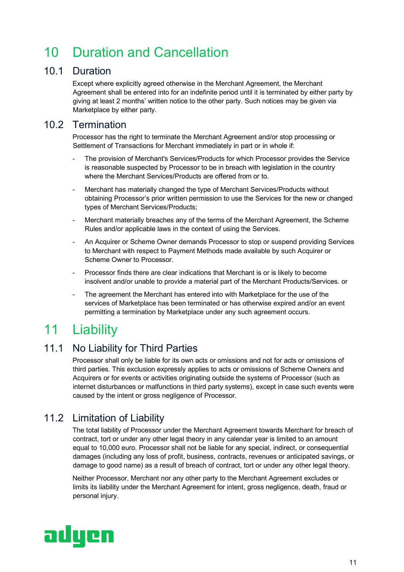## 10 Duration and Cancellation

### 10.1 Duration

Except where explicitly agreed otherwise in the Merchant Agreement, the Merchant Agreement shall be entered into for an indefinite period until it is terminated by either party by giving at least 2 months' written notice to the other party. Such notices may be given via Marketplace by either party.

### 10.2 Termination

Processor has the right to terminate the Merchant Agreement and/or stop processing or Settlement of Transactions for Merchant immediately in part or in whole if:

- The provision of Merchant's Services/Products for which Processor provides the Service is reasonable suspected by Processor to be in breach with legislation in the country where the Merchant Services/Products are offered from or to.
- Merchant has materially changed the type of Merchant Services/Products without obtaining Processor's prior written permission to use the Services for the new or changed types of Merchant Services/Products;
- Merchant materially breaches any of the terms of the Merchant Agreement, the Scheme Rules and/or applicable laws in the context of using the Services.
- An Acquirer or Scheme Owner demands Processor to stop or suspend providing Services to Merchant with respect to Payment Methods made available by such Acquirer or Scheme Owner to Processor.
- Processor finds there are clear indications that Merchant is or is likely to become insolvent and/or unable to provide a material part of the Merchant Products/Services. or
- The agreement the Merchant has entered into with Marketplace for the use of the services of Marketplace has been terminated or has otherwise expired and/or an event permitting a termination by Marketplace under any such agreement occurs.

## 11 Liability

### 11.1 No Liability for Third Parties

Processor shall only be liable for its own acts or omissions and not for acts or omissions of third parties. This exclusion expressly applies to acts or omissions of Scheme Owners and Acquirers or for events or activities originating outside the systems of Processor (such as internet disturbances or malfunctions in third party systems), except in case such events were caused by the intent or gross negligence of Processor.

### 11.2 Limitation of Liability

The total liability of Processor under the Merchant Agreement towards Merchant for breach of contract, tort or under any other legal theory in any calendar year is limited to an amount equal to 10,000 euro. Processor shall not be liable for any special, indirect, or consequential damages (including any loss of profit, business, contracts, revenues or anticipated savings, or damage to good name) as a result of breach of contract, tort or under any other legal theory.

Neither Processor, Merchant nor any other party to the Merchant Agreement excludes or limits its liability under the Merchant Agreement for intent, gross negligence, death, fraud or personal injury.

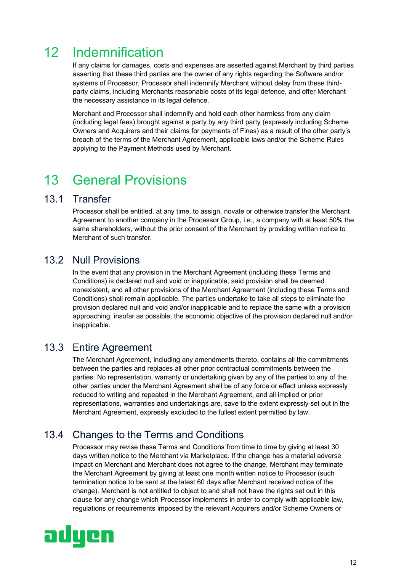## 12 Indemnification

If any claims for damages, costs and expenses are asserted against Merchant by third parties asserting that these third parties are the owner of any rights regarding the Software and/or systems of Processor, Processor shall indemnify Merchant without delay from these thirdparty claims, including Merchants reasonable costs of its legal defence, and offer Merchant the necessary assistance in its legal defence.

Merchant and Processor shall indemnify and hold each other harmless from any claim (including legal fees) brought against a party by any third party (expressly including Scheme Owners and Acquirers and their claims for payments of Fines) as a result of the other party's breach of the terms of the Merchant Agreement, applicable laws and/or the Scheme Rules applying to the Payment Methods used by Merchant.

### 13 General Provisions

#### 13.1 Transfer

Processor shall be entitled, at any time, to assign, novate or otherwise transfer the Merchant Agreement to another company in the Processor Group, i.e., a company with at least 50% the same shareholders, without the prior consent of the Merchant by providing written notice to Merchant of such transfer.

#### 13.2 Null Provisions

In the event that any provision in the Merchant Agreement (including these Terms and Conditions) is declared null and void or inapplicable, said provision shall be deemed nonexistent, and all other provisions of the Merchant Agreement (including these Terms and Conditions) shall remain applicable. The parties undertake to take all steps to eliminate the provision declared null and void and/or inapplicable and to replace the same with a provision approaching, insofar as possible, the economic objective of the provision declared null and/or inapplicable.

#### 13.3 Entire Agreement

The Merchant Agreement, including any amendments thereto, contains all the commitments between the parties and replaces all other prior contractual commitments between the parties. No representation, warranty or undertaking given by any of the parties to any of the other parties under the Merchant Agreement shall be of any force or effect unless expressly reduced to writing and repeated in the Merchant Agreement, and all implied or prior representations, warranties and undertakings are, save to the extent expressly set out in the Merchant Agreement, expressly excluded to the fullest extent permitted by law.

### 13.4 Changes to the Terms and Conditions

Processor may revise these Terms and Conditions from time to time by giving at least 30 days written notice to the Merchant via Marketplace. If the change has a material adverse impact on Merchant and Merchant does not agree to the change, Merchant may terminate the Merchant Agreement by giving at least one month written notice to Processor (such termination notice to be sent at the latest 60 days after Merchant received notice of the change). Merchant is not entitled to object to and shall not have the rights set out in this clause for any change which Processor implements in order to comply with applicable law, regulations or requirements imposed by the relevant Acquirers and/or Scheme Owners or